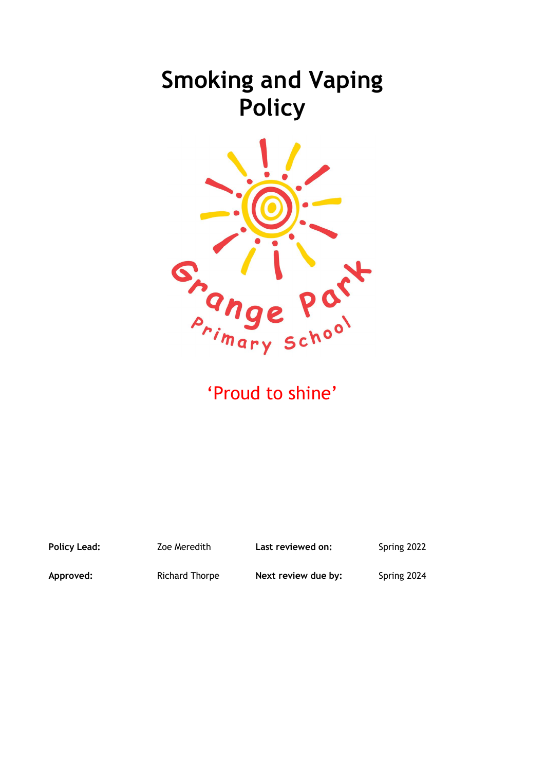# **Smoking and Vaping Policy**



'Proud to shine'

Policy Lead: **Zoe Meredith** Last reviewed on: Spring 2022

**Approved:** Richard Thorpe **Next review due by:** Spring 2024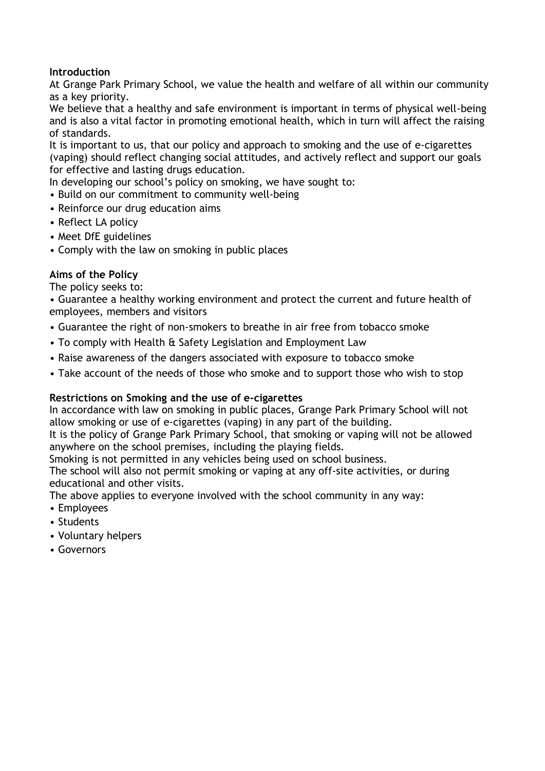# **Introduction**

At Grange Park Primary School, we value the health and welfare of all within our community as a key priority.

We believe that a healthy and safe environment is important in terms of physical well-being and is also a vital factor in promoting emotional health, which in turn will affect the raising of standards.

It is important to us, that our policy and approach to smoking and the use of e-cigarettes (vaping) should reflect changing social attitudes, and actively reflect and support our goals for effective and lasting drugs education.

In developing our school's policy on smoking, we have sought to:

- Build on our commitment to community well-being
- Reinforce our drug education aims
- Reflect LA policy
- Meet DfE guidelines
- Comply with the law on smoking in public places

# **Aims of the Policy**

The policy seeks to:

• Guarantee a healthy working environment and protect the current and future health of employees, members and visitors

- Guarantee the right of non-smokers to breathe in air free from tobacco smoke
- To comply with Health & Safety Legislation and Employment Law
- Raise awareness of the dangers associated with exposure to tobacco smoke
- Take account of the needs of those who smoke and to support those who wish to stop

## **Restrictions on Smoking and the use of e-cigarettes**

In accordance with law on smoking in public places, Grange Park Primary School will not allow smoking or use of e-cigarettes (vaping) in any part of the building.

It is the policy of Grange Park Primary School, that smoking or vaping will not be allowed anywhere on the school premises, including the playing fields.

Smoking is not permitted in any vehicles being used on school business.

The school will also not permit smoking or vaping at any off-site activities, or during educational and other visits.

The above applies to everyone involved with the school community in any way:

- Employees
- Students
- Voluntary helpers
- Governors